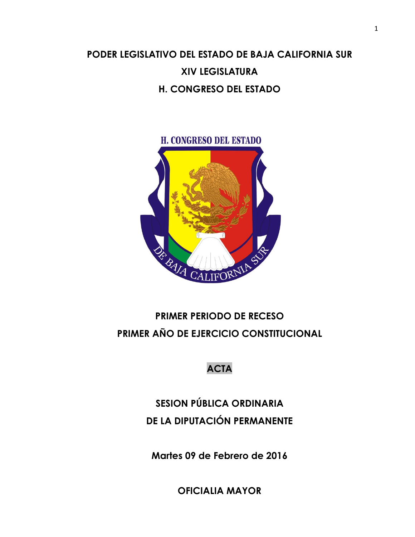## **PODER LEGISLATIVO DEL ESTADO DE BAJA CALIFORNIA SUR XIV LEGISLATURA H. CONGRESO DEL ESTADO**



## **PRIMER PERIODO DE RECESO PRIMER AÑO DE EJERCICIO CONSTITUCIONAL**

#### **ACTA**

# **SESION PÚBLICA ORDINARIA DE LA DIPUTACIÓN PERMANENTE**

**Martes 09 de Febrero de 2016**

**OFICIALIA MAYOR**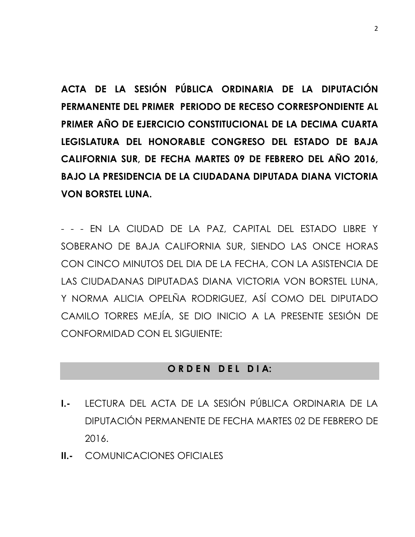**ACTA DE LA SESIÓN PÚBLICA ORDINARIA DE LA DIPUTACIÓN PERMANENTE DEL PRIMER PERIODO DE RECESO CORRESPONDIENTE AL PRIMER AÑO DE EJERCICIO CONSTITUCIONAL DE LA DECIMA CUARTA LEGISLATURA DEL HONORABLE CONGRESO DEL ESTADO DE BAJA CALIFORNIA SUR, DE FECHA MARTES 09 DE FEBRERO DEL AÑO 2016, BAJO LA PRESIDENCIA DE LA CIUDADANA DIPUTADA DIANA VICTORIA VON BORSTEL LUNA.**

- - - EN LA CIUDAD DE LA PAZ, CAPITAL DEL ESTADO LIBRE Y SOBERANO DE BAJA CALIFORNIA SUR, SIENDO LAS ONCE HORAS CON CINCO MINUTOS DEL DIA DE LA FECHA, CON LA ASISTENCIA DE LAS CIUDADANAS DIPUTADAS DIANA VICTORIA VON BORSTEL LUNA, Y NORMA ALICIA OPELÑA RODRIGUEZ, ASÍ COMO DEL DIPUTADO CAMILO TORRES MEJÍA, SE DIO INICIO A LA PRESENTE SESIÓN DE CONFORMIDAD CON EL SIGUIENTE:

#### **O R D E N D E L D I A:**

- **I.-** LECTURA DEL ACTA DE LA SESIÓN PÚBLICA ORDINARIA DE LA DIPUTACIÓN PERMANENTE DE FECHA MARTES 02 DE FEBRERO DE 2016.
- **II.-** COMUNICACIONES OFICIALES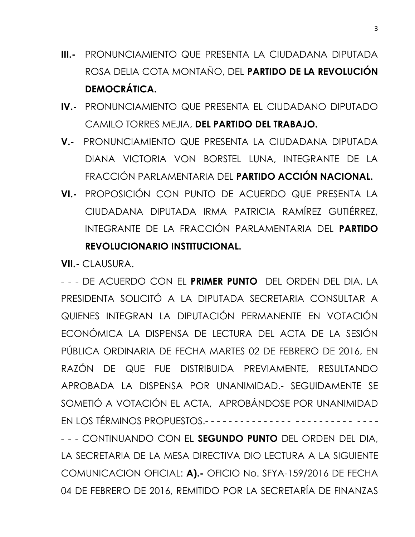- **III.-** PRONUNCIAMIENTO QUE PRESENTA LA CIUDADANA DIPUTADA ROSA DELIA COTA MONTAÑO, DEL **PARTIDO DE LA REVOLUCIÓN DEMOCRÁTICA.**
- **IV.-** PRONUNCIAMIENTO QUE PRESENTA EL CIUDADANO DIPUTADO CAMILO TORRES MEJIA, **DEL PARTIDO DEL TRABAJO.**
- **V.-** PRONUNCIAMIENTO QUE PRESENTA LA CIUDADANA DIPUTADA DIANA VICTORIA VON BORSTEL LUNA, INTEGRANTE DE LA FRACCIÓN PARLAMENTARIA DEL **PARTIDO ACCIÓN NACIONAL.**
- **VI.-** PROPOSICIÓN CON PUNTO DE ACUERDO QUE PRESENTA LA CIUDADANA DIPUTADA IRMA PATRICIA RAMÍREZ GUTIÉRREZ, INTEGRANTE DE LA FRACCIÓN PARLAMENTARIA DEL **PARTIDO REVOLUCIONARIO INSTITUCIONAL.**

**VII.-** CLAUSURA.

- - - DE ACUERDO CON EL **PRIMER PUNTO** DEL ORDEN DEL DIA, LA PRESIDENTA SOLICITÓ A LA DIPUTADA SECRETARIA CONSULTAR A QUIENES INTEGRAN LA DIPUTACIÓN PERMANENTE EN VOTACIÓN ECONÓMICA LA DISPENSA DE LECTURA DEL ACTA DE LA SESIÓN PÚBLICA ORDINARIA DE FECHA MARTES 02 DE FEBRERO DE 2016, EN RAZÓN DE QUE FUE DISTRIBUIDA PREVIAMENTE, RESULTANDO APROBADA LA DISPENSA POR UNANIMIDAD.- SEGUIDAMENTE SE SOMETIÓ A VOTACIÓN EL ACTA, APROBÁNDOSE POR UNANIMIDAD EN LOS TÉRMINOS PROPUESTOS.- - - - - - - - - - - - - - - - - - - - - - - - - - - - - - - - CONTINUANDO CON EL **SEGUNDO PUNTO** DEL ORDEN DEL DIA, LA SECRETARIA DE LA MESA DIRECTIVA DIO LECTURA A LA SIGUIENTE COMUNICACION OFICIAL: **A).-** OFICIO No. SFYA-159/2016 DE FECHA

04 DE FEBRERO DE 2016, REMITIDO POR LA SECRETARÍA DE FINANZAS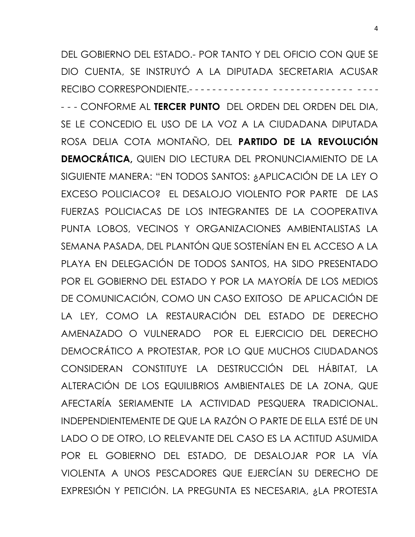DEL GOBIERNO DEL ESTADO.- POR TANTO Y DEL OFICIO CON QUE SE DIO CUENTA, SE INSTRUYÓ A LA DIPUTADA SECRETARIA ACUSAR RECIBO CORRESPONDIENTE.- - - - - - - - - - - - - - - - - - - - - - - - - - - - - - - -

- - - CONFORME AL **TERCER PUNTO** DEL ORDEN DEL ORDEN DEL DIA, SE LE CONCEDIO EL USO DE LA VOZ A LA CIUDADANA DIPUTADA ROSA DELIA COTA MONTAÑO, DEL **PARTIDO DE LA REVOLUCIÓN DEMOCRÁTICA,** QUIEN DIO LECTURA DEL PRONUNCIAMIENTO DE LA SIGUIENTE MANERA: "EN TODOS SANTOS: ¿APLICACIÓN DE LA LEY O EXCESO POLICIACO? EL DESALOJO VIOLENTO POR PARTE DE LAS FUERZAS POLICIACAS DE LOS INTEGRANTES DE LA COOPERATIVA PUNTA LOBOS, VECINOS Y ORGANIZACIONES AMBIENTALISTAS LA SEMANA PASADA, DEL PLANTÓN QUE SOSTENÍAN EN EL ACCESO A LA PLAYA EN DELEGACIÓN DE TODOS SANTOS, HA SIDO PRESENTADO POR EL GOBIERNO DEL ESTADO Y POR LA MAYORÍA DE LOS MEDIOS DE COMUNICACIÓN, COMO UN CASO EXITOSO DE APLICACIÓN DE LA LEY, COMO LA RESTAURACIÓN DEL ESTADO DE DERECHO AMENAZADO O VULNERADO POR EL EJERCICIO DEL DERECHO DEMOCRÁTICO A PROTESTAR, POR LO QUE MUCHOS CIUDADANOS CONSIDERAN CONSTITUYE LA DESTRUCCIÓN DEL HÁBITAT, LA ALTERACIÓN DE LOS EQUILIBRIOS AMBIENTALES DE LA ZONA, QUE AFECTARÍA SERIAMENTE LA ACTIVIDAD PESQUERA TRADICIONAL. INDEPENDIENTEMENTE DE QUE LA RAZÓN O PARTE DE ELLA ESTÉ DE UN LADO O DE OTRO, LO RELEVANTE DEL CASO ES LA ACTITUD ASUMIDA POR EL GOBIERNO DEL ESTADO, DE DESALOJAR POR LA VÍA VIOLENTA A UNOS PESCADORES QUE EJERCÍAN SU DERECHO DE EXPRESIÓN Y PETICIÓN. LA PREGUNTA ES NECESARIA, ¿LA PROTESTA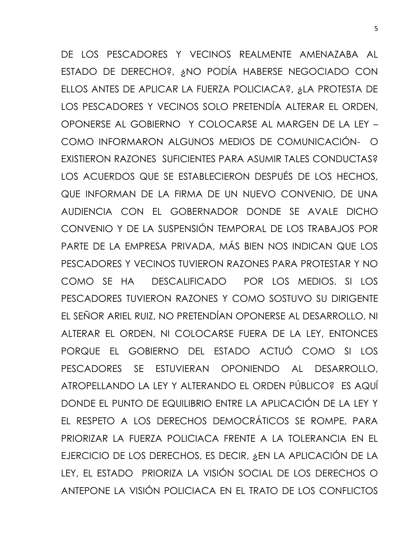DE LOS PESCADORES Y VECINOS REALMENTE AMENAZABA AL ESTADO DE DERECHO?, ¿NO PODÍA HABERSE NEGOCIADO CON ELLOS ANTES DE APLICAR LA FUERZA POLICIACA?, ¿LA PROTESTA DE LOS PESCADORES Y VECINOS SOLO PRETENDÍA ALTERAR EL ORDEN, OPONERSE AL GOBIERNO Y COLOCARSE AL MARGEN DE LA LEY – COMO INFORMARON ALGUNOS MEDIOS DE COMUNICACIÓN- O EXISTIERON RAZONES SUFICIENTES PARA ASUMIR TALES CONDUCTAS? LOS ACUERDOS QUE SE ESTABLECIERON DESPUÉS DE LOS HECHOS, QUE INFORMAN DE LA FIRMA DE UN NUEVO CONVENIO, DE UNA AUDIENCIA CON EL GOBERNADOR DONDE SE AVALE DICHO CONVENIO Y DE LA SUSPENSIÓN TEMPORAL DE LOS TRABAJOS POR PARTE DE LA EMPRESA PRIVADA, MÁS BIEN NOS INDICAN QUE LOS PESCADORES Y VECINOS TUVIERON RAZONES PARA PROTESTAR Y NO COMO SE HA DESCALIFICADO POR LOS MEDIOS. SI LOS PESCADORES TUVIERON RAZONES Y COMO SOSTUVO SU DIRIGENTE EL SEÑOR ARIEL RUIZ, NO PRETENDÍAN OPONERSE AL DESARROLLO, NI ALTERAR EL ORDEN, NI COLOCARSE FUERA DE LA LEY, ENTONCES PORQUE EL GOBIERNO DEL ESTADO ACTUÓ COMO SI LOS PESCADORES SE ESTUVIERAN OPONIENDO AL DESARROLLO, ATROPELLANDO LA LEY Y ALTERANDO EL ORDEN PÚBLICO? ES AQUÍ DONDE EL PUNTO DE EQUILIBRIO ENTRE LA APLICACIÓN DE LA LEY Y EL RESPETO A LOS DERECHOS DEMOCRÁTICOS SE ROMPE, PARA PRIORIZAR LA FUERZA POLICIACA FRENTE A LA TOLERANCIA EN EL EJERCICIO DE LOS DERECHOS, ES DECIR, ¿EN LA APLICACIÓN DE LA LEY, EL ESTADO PRIORIZA LA VISIÓN SOCIAL DE LOS DERECHOS O ANTEPONE LA VISIÓN POLICIACA EN EL TRATO DE LOS CONFLICTOS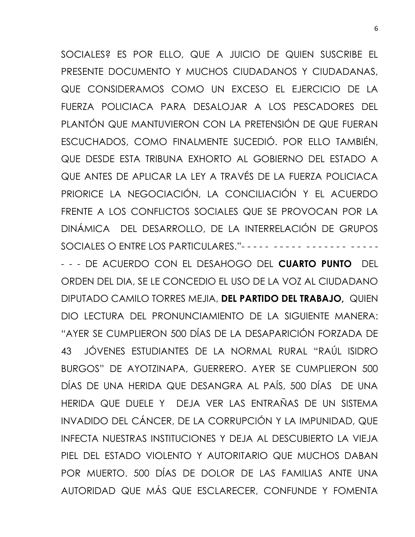SOCIALES? ES POR ELLO, QUE A JUICIO DE QUIEN SUSCRIBE EL PRESENTE DOCUMENTO Y MUCHOS CIUDADANOS Y CIUDADANAS, QUE CONSIDERAMOS COMO UN EXCESO EL EJERCICIO DE LA FUERZA POLICIACA PARA DESALOJAR A LOS PESCADORES DEL PLANTÓN QUE MANTUVIERON CON LA PRETENSIÓN DE QUE FUERAN ESCUCHADOS, COMO FINALMENTE SUCEDIÓ. POR ELLO TAMBIÉN, QUE DESDE ESTA TRIBUNA EXHORTO AL GOBIERNO DEL ESTADO A QUE ANTES DE APLICAR LA LEY A TRAVÉS DE LA FUERZA POLICIACA PRIORICE LA NEGOCIACIÓN, LA CONCILIACIÓN Y EL ACUERDO FRENTE A LOS CONFLICTOS SOCIALES QUE SE PROVOCAN POR LA DINÁMICA DEL DESARROLLO, DE LA INTERRELACIÓN DE GRUPOS SOCIALES O ENTRE LOS PARTICULARES."- - - - - - - - - - - - - - - - - - - - - -

- - - DE ACUERDO CON EL DESAHOGO DEL **CUARTO PUNTO** DEL ORDEN DEL DIA, SE LE CONCEDIO EL USO DE LA VOZ AL CIUDADANO DIPUTADO CAMILO TORRES MEJIA, **DEL PARTIDO DEL TRABAJO,** QUIEN DIO LECTURA DEL PRONUNCIAMIENTO DE LA SIGUIENTE MANERA: "AYER SE CUMPLIERON 500 DÍAS DE LA DESAPARICIÓN FORZADA DE 43 JÓVENES ESTUDIANTES DE LA NORMAL RURAL "RAÚL ISIDRO BURGOS" DE AYOTZINAPA, GUERRERO. AYER SE CUMPLIERON 500 DÍAS DE UNA HERIDA QUE DESANGRA AL PAÍS, 500 DÍAS DE UNA HERIDA QUE DUELE Y DEJA VER LAS ENTRAÑAS DE UN SISTEMA INVADIDO DEL CÁNCER, DE LA CORRUPCIÓN Y LA IMPUNIDAD, QUE INFECTA NUESTRAS INSTITUCIONES Y DEJA AL DESCUBIERTO LA VIEJA PIEL DEL ESTADO VIOLENTO Y AUTORITARIO QUE MUCHOS DABAN POR MUERTO. 500 DÍAS DE DOLOR DE LAS FAMILIAS ANTE UNA AUTORIDAD QUE MÁS QUE ESCLARECER, CONFUNDE Y FOMENTA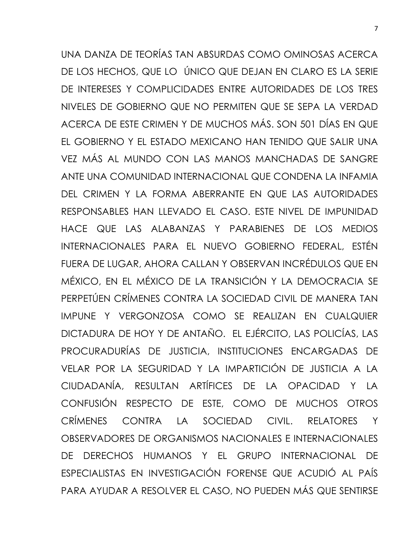UNA DANZA DE TEORÍAS TAN ABSURDAS COMO OMINOSAS ACERCA DE LOS HECHOS, QUE LO ÚNICO QUE DEJAN EN CLARO ES LA SERIE DE INTERESES Y COMPLICIDADES ENTRE AUTORIDADES DE LOS TRES NIVELES DE GOBIERNO QUE NO PERMITEN QUE SE SEPA LA VERDAD ACERCA DE ESTE CRIMEN Y DE MUCHOS MÁS. SON 501 DÍAS EN QUE EL GOBIERNO Y EL ESTADO MEXICANO HAN TENIDO QUE SALIR UNA VEZ MÁS AL MUNDO CON LAS MANOS MANCHADAS DE SANGRE ANTE UNA COMUNIDAD INTERNACIONAL QUE CONDENA LA INFAMIA DEL CRIMEN Y LA FORMA ABERRANTE EN QUE LAS AUTORIDADES RESPONSABLES HAN LLEVADO EL CASO. ESTE NIVEL DE IMPUNIDAD HACE QUE LAS ALABANZAS Y PARABIENES DE LOS MEDIOS INTERNACIONALES PARA EL NUEVO GOBIERNO FEDERAL, ESTÉN FUERA DE LUGAR, AHORA CALLAN Y OBSERVAN INCRÉDULOS QUE EN MÉXICO, EN EL MÉXICO DE LA TRANSICIÓN Y LA DEMOCRACIA SE PERPETÚEN CRÍMENES CONTRA LA SOCIEDAD CIVIL DE MANERA TAN IMPUNE Y VERGONZOSA COMO SE REALIZAN EN CUALQUIER DICTADURA DE HOY Y DE ANTAÑO. EL EJÉRCITO, LAS POLICÍAS, LAS PROCURADURÍAS DE JUSTICIA, INSTITUCIONES ENCARGADAS DE VELAR POR LA SEGURIDAD Y LA IMPARTICIÓN DE JUSTICIA A LA CIUDADANÍA, RESULTAN ARTÍFICES DE LA OPACIDAD Y LA CONFUSIÓN RESPECTO DE ESTE, COMO DE MUCHOS OTROS CRÍMENES CONTRA LA SOCIEDAD CIVIL. RELATORES Y OBSERVADORES DE ORGANISMOS NACIONALES E INTERNACIONALES DE DERECHOS HUMANOS Y EL GRUPO INTERNACIONAL DE ESPECIALISTAS EN INVESTIGACIÓN FORENSE QUE ACUDIÓ AL PAÍS PARA AYUDAR A RESOLVER EL CASO, NO PUEDEN MÁS QUE SENTIRSE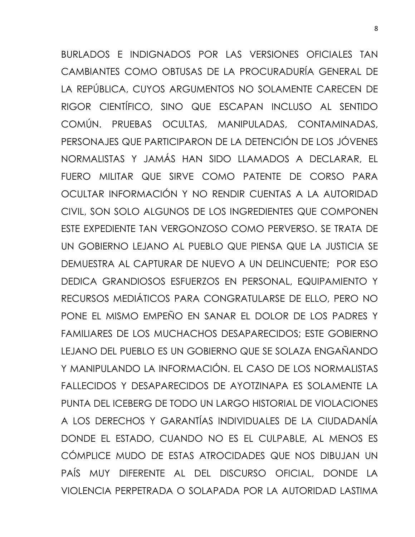BURLADOS E INDIGNADOS POR LAS VERSIONES OFICIALES TAN CAMBIANTES COMO OBTUSAS DE LA PROCURADURÍA GENERAL DE LA REPÚBLICA, CUYOS ARGUMENTOS NO SOLAMENTE CARECEN DE RIGOR CIENTÍFICO, SINO QUE ESCAPAN INCLUSO AL SENTIDO COMÚN. PRUEBAS OCULTAS, MANIPULADAS, CONTAMINADAS, PERSONAJES QUE PARTICIPARON DE LA DETENCIÓN DE LOS JÓVENES NORMALISTAS Y JAMÁS HAN SIDO LLAMADOS A DECLARAR, EL FUERO MILITAR QUE SIRVE COMO PATENTE DE CORSO PARA OCULTAR INFORMACIÓN Y NO RENDIR CUENTAS A LA AUTORIDAD CIVIL, SON SOLO ALGUNOS DE LOS INGREDIENTES QUE COMPONEN ESTE EXPEDIENTE TAN VERGONZOSO COMO PERVERSO. SE TRATA DE UN GOBIERNO LEJANO AL PUEBLO QUE PIENSA QUE LA JUSTICIA SE DEMUESTRA AL CAPTURAR DE NUEVO A UN DELINCUENTE; POR ESO DEDICA GRANDIOSOS ESFUERZOS EN PERSONAL, EQUIPAMIENTO Y RECURSOS MEDIÁTICOS PARA CONGRATULARSE DE ELLO, PERO NO PONE EL MISMO EMPEÑO EN SANAR EL DOLOR DE LOS PADRES Y FAMILIARES DE LOS MUCHACHOS DESAPARECIDOS; ESTE GOBIERNO LEJANO DEL PUEBLO ES UN GOBIERNO QUE SE SOLAZA ENGAÑANDO Y MANIPULANDO LA INFORMACIÓN. EL CASO DE LOS NORMALISTAS FALLECIDOS Y DESAPARECIDOS DE AYOTZINAPA ES SOLAMENTE LA PUNTA DEL ICEBERG DE TODO UN LARGO HISTORIAL DE VIOLACIONES A LOS DERECHOS Y GARANTÍAS INDIVIDUALES DE LA CIUDADANÍA DONDE EL ESTADO, CUANDO NO ES EL CULPABLE, AL MENOS ES CÓMPLICE MUDO DE ESTAS ATROCIDADES QUE NOS DIBUJAN UN PAÍS MUY DIFERENTE AL DEL DISCURSO OFICIAL, DONDE LA VIOLENCIA PERPETRADA O SOLAPADA POR LA AUTORIDAD LASTIMA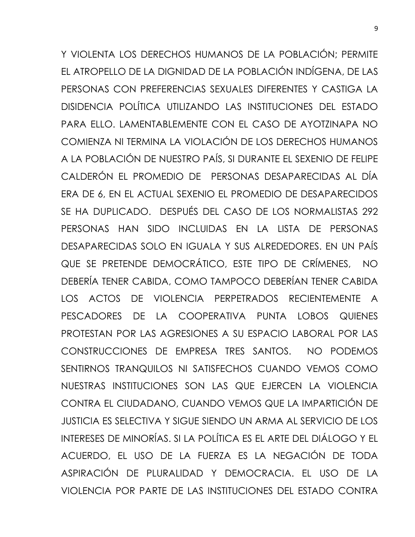Y VIOLENTA LOS DERECHOS HUMANOS DE LA POBLACIÓN; PERMITE EL ATROPELLO DE LA DIGNIDAD DE LA POBLACIÓN INDÍGENA, DE LAS PERSONAS CON PREFERENCIAS SEXUALES DIFERENTES Y CASTIGA LA DISIDENCIA POLÍTICA UTILIZANDO LAS INSTITUCIONES DEL ESTADO PARA ELLO. LAMENTABLEMENTE CON EL CASO DE AYOTZINAPA NO COMIENZA NI TERMINA LA VIOLACIÓN DE LOS DERECHOS HUMANOS A LA POBLACIÓN DE NUESTRO PAÍS, SI DURANTE EL SEXENIO DE FELIPE CALDERÓN EL PROMEDIO DE PERSONAS DESAPARECIDAS AL DÍA ERA DE 6, EN EL ACTUAL SEXENIO EL PROMEDIO DE DESAPARECIDOS SE HA DUPLICADO. DESPUÉS DEL CASO DE LOS NORMALISTAS 292 PERSONAS HAN SIDO INCLUIDAS EN LA LISTA DE PERSONAS DESAPARECIDAS SOLO EN IGUALA Y SUS ALREDEDORES. EN UN PAÍS QUE SE PRETENDE DEMOCRÁTICO, ESTE TIPO DE CRÍMENES, NO DEBERÍA TENER CABIDA, COMO TAMPOCO DEBERÍAN TENER CABIDA LOS ACTOS DE VIOLENCIA PERPETRADOS RECIENTEMENTE A PESCADORES DE LA COOPERATIVA PUNTA LOBOS QUIENES PROTESTAN POR LAS AGRESIONES A SU ESPACIO LABORAL POR LAS CONSTRUCCIONES DE EMPRESA TRES SANTOS. NO PODEMOS SENTIRNOS TRANQUILOS NI SATISFECHOS CUANDO VEMOS COMO NUESTRAS INSTITUCIONES SON LAS QUE EJERCEN LA VIOLENCIA CONTRA EL CIUDADANO, CUANDO VEMOS QUE LA IMPARTICIÓN DE JUSTICIA ES SELECTIVA Y SIGUE SIENDO UN ARMA AL SERVICIO DE LOS INTERESES DE MINORÍAS. SI LA POLÍTICA ES EL ARTE DEL DIÁLOGO Y EL ACUERDO, EL USO DE LA FUERZA ES LA NEGACIÓN DE TODA ASPIRACIÓN DE PLURALIDAD Y DEMOCRACIA. EL USO DE LA VIOLENCIA POR PARTE DE LAS INSTITUCIONES DEL ESTADO CONTRA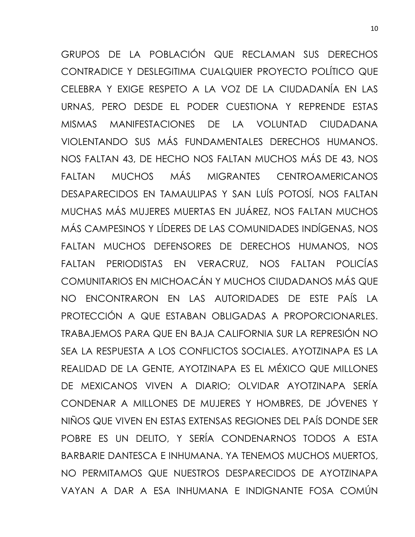GRUPOS DE LA POBLACIÓN QUE RECLAMAN SUS DERECHOS CONTRADICE Y DESLEGITIMA CUALQUIER PROYECTO POLÍTICO QUE CELEBRA Y EXIGE RESPETO A LA VOZ DE LA CIUDADANÍA EN LAS URNAS, PERO DESDE EL PODER CUESTIONA Y REPRENDE ESTAS MISMAS MANIFESTACIONES DE LA VOLUNTAD CIUDADANA VIOLENTANDO SUS MÁS FUNDAMENTALES DERECHOS HUMANOS. NOS FALTAN 43, DE HECHO NOS FALTAN MUCHOS MÁS DE 43, NOS FALTAN MUCHOS MÁS MIGRANTES CENTROAMERICANOS DESAPARECIDOS EN TAMAULIPAS Y SAN LUÍS POTOSÍ, NOS FALTAN MUCHAS MÁS MUJERES MUERTAS EN JUÁREZ, NOS FALTAN MUCHOS MÁS CAMPESINOS Y LÍDERES DE LAS COMUNIDADES INDÍGENAS, NOS FALTAN MUCHOS DEFENSORES DE DERECHOS HUMANOS, NOS FALTAN PERIODISTAS EN VERACRUZ, NOS FALTAN POLICÍAS COMUNITARIOS EN MICHOACÁN Y MUCHOS CIUDADANOS MÁS QUE NO ENCONTRARON EN LAS AUTORIDADES DE ESTE PAÍS LA PROTECCIÓN A QUE ESTABAN OBLIGADAS A PROPORCIONARLES. TRABAJEMOS PARA QUE EN BAJA CALIFORNIA SUR LA REPRESIÓN NO SEA LA RESPUESTA A LOS CONFLICTOS SOCIALES. AYOTZINAPA ES LA REALIDAD DE LA GENTE, AYOTZINAPA ES EL MÉXICO QUE MILLONES DE MEXICANOS VIVEN A DIARIO; OLVIDAR AYOTZINAPA SERÍA CONDENAR A MILLONES DE MUJERES Y HOMBRES, DE JÓVENES Y NIÑOS QUE VIVEN EN ESTAS EXTENSAS REGIONES DEL PAÍS DONDE SER POBRE ES UN DELITO, Y SERÍA CONDENARNOS TODOS A ESTA BARBARIE DANTESCA E INHUMANA. YA TENEMOS MUCHOS MUERTOS, NO PERMITAMOS QUE NUESTROS DESPARECIDOS DE AYOTZINAPA VAYAN A DAR A ESA INHUMANA E INDIGNANTE FOSA COMÚN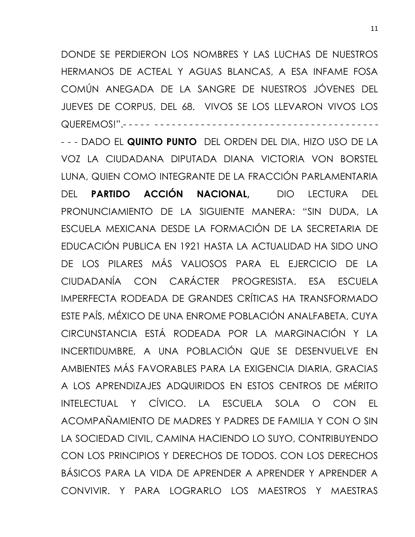DONDE SE PERDIERON LOS NOMBRES Y LAS LUCHAS DE NUESTROS HERMANOS DE ACTEAL Y AGUAS BLANCAS, A ESA INFAME FOSA COMÚN ANEGADA DE LA SANGRE DE NUESTROS JÓVENES DEL JUEVES DE CORPUS, DEL 68. VIVOS SE LOS LLEVARON VIVOS LOS QUEREMOS!".-----------

- - - DADO EL **QUINTO PUNTO** DEL ORDEN DEL DIA, HIZO USO DE LA VOZ LA CIUDADANA DIPUTADA DIANA VICTORIA VON BORSTEL LUNA, QUIEN COMO INTEGRANTE DE LA FRACCIÓN PARLAMENTARIA DEL **PARTIDO ACCIÓN NACIONAL,** DIO LECTURA DEL PRONUNCIAMIENTO DE LA SIGUIENTE MANERA: "SIN DUDA, LA ESCUELA MEXICANA DESDE LA FORMACIÓN DE LA SECRETARIA DE EDUCACIÓN PUBLICA EN 1921 HASTA LA ACTUALIDAD HA SIDO UNO DE LOS PILARES MÁS VALIOSOS PARA EL EJERCICIO DE LA CIUDADANÍA CON CARÁCTER PROGRESISTA. ESA ESCUELA IMPERFECTA RODEADA DE GRANDES CRÍTICAS HA TRANSFORMADO ESTE PAÍS, MÉXICO DE UNA ENROME POBLACIÓN ANALFABETA, CUYA CIRCUNSTANCIA ESTÁ RODEADA POR LA MARGINACIÓN Y LA INCERTIDUMBRE, A UNA POBLACIÓN QUE SE DESENVUELVE EN AMBIENTES MÁS FAVORABLES PARA LA EXIGENCIA DIARIA, GRACIAS A LOS APRENDIZAJES ADQUIRIDOS EN ESTOS CENTROS DE MÉRITO INTELECTUAL Y CÍVICO. LA ESCUELA SOLA O CON EL ACOMPAÑAMIENTO DE MADRES Y PADRES DE FAMILIA Y CON O SIN LA SOCIEDAD CIVIL, CAMINA HACIENDO LO SUYO, CONTRIBUYENDO CON LOS PRINCIPIOS Y DERECHOS DE TODOS. CON LOS DERECHOS BÁSICOS PARA LA VIDA DE APRENDER A APRENDER Y APRENDER A CONVIVIR. Y PARA LOGRARLO LOS MAESTROS Y MAESTRAS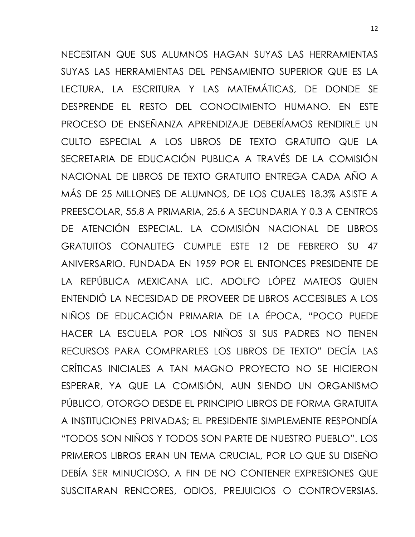NECESITAN QUE SUS ALUMNOS HAGAN SUYAS LAS HERRAMIENTAS SUYAS LAS HERRAMIENTAS DEL PENSAMIENTO SUPERIOR QUE ES LA LECTURA, LA ESCRITURA Y LAS MATEMÁTICAS, DE DONDE SE DESPRENDE EL RESTO DEL CONOCIMIENTO HUMANO. EN ESTE PROCESO DE ENSEÑANZA APRENDIZAJE DEBERÍAMOS RENDIRLE UN CULTO ESPECIAL A LOS LIBROS DE TEXTO GRATUITO QUE LA SECRETARIA DE EDUCACIÓN PUBLICA A TRAVÉS DE LA COMISIÓN NACIONAL DE LIBROS DE TEXTO GRATUITO ENTREGA CADA AÑO A MÁS DE 25 MILLONES DE ALUMNOS, DE LOS CUALES 18.3% ASISTE A PREESCOLAR, 55.8 A PRIMARIA, 25.6 A SECUNDARIA Y 0.3 A CENTROS DE ATENCIÓN ESPECIAL. LA COMISIÓN NACIONAL DE LIBROS GRATUITOS CONALITEG CUMPLE ESTE 12 DE FEBRERO SU 47 ANIVERSARIO. FUNDADA EN 1959 POR EL ENTONCES PRESIDENTE DE LA REPÚBLICA MEXICANA LIC. ADOLFO LÓPEZ MATEOS QUIEN ENTENDIÓ LA NECESIDAD DE PROVEER DE LIBROS ACCESIBLES A LOS NIÑOS DE EDUCACIÓN PRIMARIA DE LA ÉPOCA, "POCO PUEDE HACER LA ESCUELA POR LOS NIÑOS SI SUS PADRES NO TIENEN RECURSOS PARA COMPRARLES LOS LIBROS DE TEXTO" DECÍA LAS CRÍTICAS INICIALES A TAN MAGNO PROYECTO NO SE HICIERON ESPERAR, YA QUE LA COMISIÓN, AUN SIENDO UN ORGANISMO PÚBLICO, OTORGO DESDE EL PRINCIPIO LIBROS DE FORMA GRATUITA A INSTITUCIONES PRIVADAS; EL PRESIDENTE SIMPLEMENTE RESPONDÍA "TODOS SON NIÑOS Y TODOS SON PARTE DE NUESTRO PUEBLO". LOS PRIMEROS LIBROS ERAN UN TEMA CRUCIAL, POR LO QUE SU DISEÑO DEBÍA SER MINUCIOSO, A FIN DE NO CONTENER EXPRESIONES QUE SUSCITARAN RENCORES, ODIOS, PREJUICIOS O CONTROVERSIAS.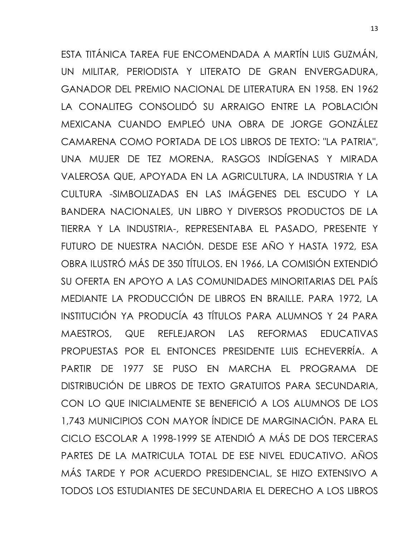ESTA TITÁNICA TAREA FUE ENCOMENDADA A MARTÍN LUIS GUZMÁN, UN MILITAR, PERIODISTA Y LITERATO DE GRAN ENVERGADURA, GANADOR DEL PREMIO NACIONAL DE LITERATURA EN 1958. EN 1962 LA CONALITEG CONSOLIDÓ SU ARRAIGO ENTRE LA POBLACIÓN MEXICANA CUANDO EMPLEÓ UNA OBRA DE JORGE GONZÁLEZ CAMARENA COMO PORTADA DE LOS LIBROS DE TEXTO: "LA PATRIA", UNA MUJER DE TEZ MORENA, RASGOS INDÍGENAS Y MIRADA VALEROSA QUE, APOYADA EN LA AGRICULTURA, LA INDUSTRIA Y LA CULTURA -SIMBOLIZADAS EN LAS IMÁGENES DEL ESCUDO Y LA BANDERA NACIONALES, UN LIBRO Y DIVERSOS PRODUCTOS DE LA TIERRA Y LA INDUSTRIA-, REPRESENTABA EL PASADO, PRESENTE Y FUTURO DE NUESTRA NACIÓN. DESDE ESE AÑO Y HASTA 1972, ESA OBRA ILUSTRÓ MÁS DE 350 TÍTULOS. EN 1966, LA COMISIÓN EXTENDIÓ SU OFERTA EN APOYO A LAS COMUNIDADES MINORITARIAS DEL PAÍS MEDIANTE LA PRODUCCIÓN DE LIBROS EN BRAILLE. PARA 1972, LA INSTITUCIÓN YA PRODUCÍA 43 TÍTULOS PARA ALUMNOS Y 24 PARA MAESTROS, QUE REFLEJARON LAS REFORMAS EDUCATIVAS PROPUESTAS POR EL ENTONCES PRESIDENTE LUIS ECHEVERRÍA. A PARTIR DE 1977 SE PUSO EN MARCHA EL PROGRAMA DE DISTRIBUCIÓN DE LIBROS DE TEXTO GRATUITOS PARA SECUNDARIA, CON LO QUE INICIALMENTE SE BENEFICIÓ A LOS ALUMNOS DE LOS 1,743 MUNICIPIOS CON MAYOR ÍNDICE DE MARGINACIÓN. PARA EL CICLO ESCOLAR A 1998-1999 SE ATENDIÓ A MÁS DE DOS TERCERAS PARTES DE LA MATRICULA TOTAL DE ESE NIVEL EDUCATIVO. AÑOS MÁS TARDE Y POR ACUERDO PRESIDENCIAL, SE HIZO EXTENSIVO A TODOS LOS ESTUDIANTES DE SECUNDARIA EL DERECHO A LOS LIBROS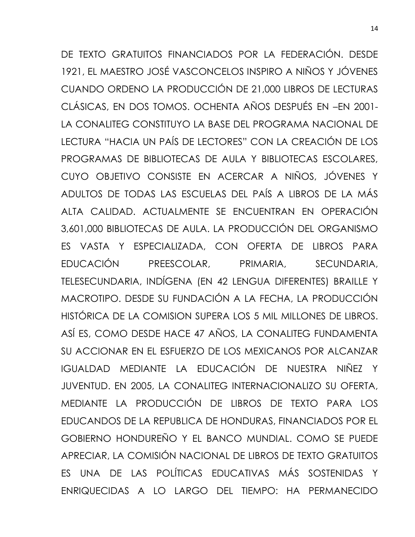DE TEXTO GRATUITOS FINANCIADOS POR LA FEDERACIÓN. DESDE 1921, EL MAESTRO JOSÉ VASCONCELOS INSPIRO A NIÑOS Y JÓVENES CUANDO ORDENO LA PRODUCCIÓN DE 21,000 LIBROS DE LECTURAS CLÁSICAS, EN DOS TOMOS. OCHENTA AÑOS DESPUÉS EN –EN 2001- LA CONALITEG CONSTITUYO LA BASE DEL PROGRAMA NACIONAL DE LECTURA "HACIA UN PAÍS DE LECTORES" CON LA CREACIÓN DE LOS PROGRAMAS DE BIBLIOTECAS DE AULA Y BIBLIOTECAS ESCOLARES, CUYO OBJETIVO CONSISTE EN ACERCAR A NIÑOS, JÓVENES Y ADULTOS DE TODAS LAS ESCUELAS DEL PAÍS A LIBROS DE LA MÁS ALTA CALIDAD. ACTUALMENTE SE ENCUENTRAN EN OPERACIÓN 3,601,000 BIBLIOTECAS DE AULA. LA PRODUCCIÓN DEL ORGANISMO ES VASTA Y ESPECIALIZADA, CON OFERTA DE LIBROS PARA EDUCACIÓN PREESCOLAR, PRIMARIA, SECUNDARIA, TELESECUNDARIA, INDÍGENA (EN 42 LENGUA DIFERENTES) BRAILLE Y MACROTIPO. DESDE SU FUNDACIÓN A LA FECHA, LA PRODUCCIÓN HISTÓRICA DE LA COMISION SUPERA LOS 5 MIL MILLONES DE LIBROS. ASÍ ES, COMO DESDE HACE 47 AÑOS, LA CONALITEG FUNDAMENTA SU ACCIONAR EN EL ESFUERZO DE LOS MEXICANOS POR ALCANZAR IGUALDAD MEDIANTE LA EDUCACIÓN DE NUESTRA NIÑEZ Y JUVENTUD. EN 2005, LA CONALITEG INTERNACIONALIZO SU OFERTA, MEDIANTE LA PRODUCCIÓN DE LIBROS DE TEXTO PARA LOS EDUCANDOS DE LA REPUBLICA DE HONDURAS, FINANCIADOS POR EL GOBIERNO HONDUREÑO Y EL BANCO MUNDIAL. COMO SE PUEDE APRECIAR, LA COMISIÓN NACIONAL DE LIBROS DE TEXTO GRATUITOS ES UNA DE LAS POLÍTICAS EDUCATIVAS MÁS SOSTENIDAS Y ENRIQUECIDAS A LO LARGO DEL TIEMPO: HA PERMANECIDO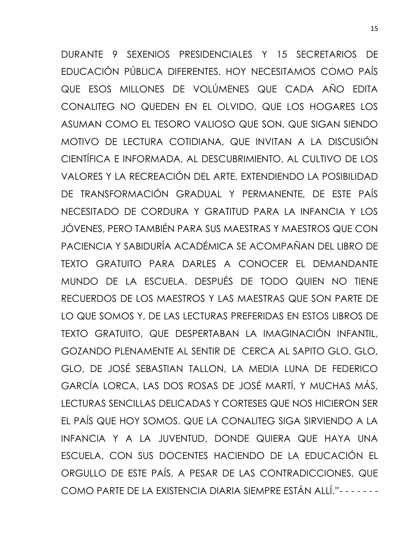DURANTE 9 SEXENIOS PRESIDENCIALES Y 15 SECRETARIOS DE EDUCACIÓN PÚBLICA DIFERENTES. HOY NECESITAMOS COMO PAÍS QUE ESOS MILLONES DE VOLÚMENES QUE CADA AÑO EDITA CONALITEG NO QUEDEN EN EL OLVIDO, QUE LOS HOGARES LOS ASUMAN COMO EL TESORO VALIOSO QUE SON, QUE SIGAN SIENDO MOTIVO DE LECTURA COTIDIANA, QUE INVITAN A LA DISCUSIÓN CIENTÍFICA E INFORMADA, AL DESCUBRIMIENTO, AL CULTIVO DE LOS VALORES Y LA RECREACIÓN DEL ARTE. EXTENDIENDO LA POSIBILIDAD DE TRANSFORMACIÓN GRADUAL Y PERMANENTE, DE ESTE PAÍS NECESITADO DE CORDURA Y GRATITUD PARA LA INFANCIA Y LOS JÓVENES, PERO TAMBIÉN PARA SUS MAESTRAS Y MAESTROS QUE CON PACIENCIA Y SABIDURÍA ACADÉMICA SE ACOMPAÑAN DEL LIBRO DE TEXTO GRATUITO PARA DARLES A CONOCER EL DEMANDANTE MUNDO DE LA ESCUELA. DESPUÉS DE TODO QUIEN NO TIENE RECUERDOS DE LOS MAESTROS Y LAS MAESTRAS QUE SON PARTE DE LO QUE SOMOS Y, DE LAS LECTURAS PREFERIDAS EN ESTOS LIBROS DE TEXTO GRATUITO, QUE DESPERTABAN LA IMAGINACIÓN INFANTIL, GOZANDO PLENAMENTE AL SENTIR DE CERCA AL SAPITO GLO, GLO, GLO, DE JOSÉ SEBASTIAN TALLON, LA MEDIA LUNA DE FEDERICO GARCÍA LORCA, LAS DOS ROSAS DE JOSÉ MARTÍ, Y MUCHAS MÁS, LECTURAS SENCILLAS DELICADAS Y CORTESES QUE NOS HICIERON SER EL PAÍS QUE HOY SOMOS. QUE LA CONALITEG SIGA SIRVIENDO A LA INFANCIA Y A LA JUVENTUD, DONDE QUIERA QUE HAYA UNA ESCUELA, CON SUS DOCENTES HACIENDO DE LA EDUCACIÓN EL ORGULLO DE ESTE PAÍS, A PESAR DE LAS CONTRADICCIONES, QUE COMO PARTE DE LA EXISTENCIA DIARIA SIEMPRE ESTÁN ALLÍ."- - - - - - -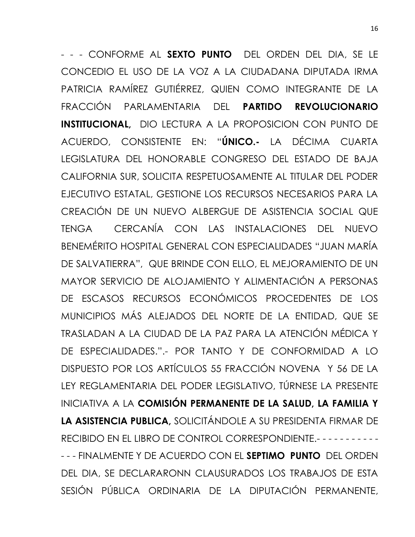- - - CONFORME AL **SEXTO PUNTO** DEL ORDEN DEL DIA, SE LE CONCEDIO EL USO DE LA VOZ A LA CIUDADANA DIPUTADA IRMA PATRICIA RAMÍREZ GUTIÉRREZ, QUIEN COMO INTEGRANTE DE LA FRACCIÓN PARLAMENTARIA DEL **PARTIDO REVOLUCIONARIO INSTITUCIONAL,** DIO LECTURA A LA PROPOSICION CON PUNTO DE ACUERDO, CONSISTENTE EN: "**ÚNICO.-** LA DÉCIMA CUARTA LEGISLATURA DEL HONORABLE CONGRESO DEL ESTADO DE BAJA CALIFORNIA SUR, SOLICITA RESPETUOSAMENTE AL TITULAR DEL PODER EJECUTIVO ESTATAL, GESTIONE LOS RECURSOS NECESARIOS PARA LA CREACIÓN DE UN NUEVO ALBERGUE DE ASISTENCIA SOCIAL QUE TENGA CERCANÍA CON LAS INSTALACIONES DEL NUEVO BENEMÉRITO HOSPITAL GENERAL CON ESPECIALIDADES "JUAN MARÍA DE SALVATIERRA", QUE BRINDE CON ELLO, EL MEJORAMIENTO DE UN MAYOR SERVICIO DE ALOJAMIENTO Y ALIMENTACIÓN A PERSONAS DE ESCASOS RECURSOS ECONÓMICOS PROCEDENTES DE LOS MUNICIPIOS MÁS ALEJADOS DEL NORTE DE LA ENTIDAD, QUE SE TRASLADAN A LA CIUDAD DE LA PAZ PARA LA ATENCIÓN MÉDICA Y DE ESPECIALIDADES.".- POR TANTO Y DE CONFORMIDAD A LO DISPUESTO POR LOS ARTÍCULOS 55 FRACCIÓN NOVENA Y 56 DE LA LEY REGLAMENTARIA DEL PODER LEGISLATIVO, TÚRNESE LA PRESENTE INICIATIVA A LA **COMISIÓN PERMANENTE DE LA SALUD, LA FAMILIA Y LA ASISTENCIA PUBLICA,** SOLICITÁNDOLE A SU PRESIDENTA FIRMAR DE RECIBIDO EN EL LIBRO DE CONTROL CORRESPONDIENTE.- - - - - - - - - - - - - - FINALMENTE Y DE ACUERDO CON EL **SEPTIMO PUNTO** DEL ORDEN DEL DIA, SE DECLARARONN CLAUSURADOS LOS TRABAJOS DE ESTA SESIÓN PÚBLICA ORDINARIA DE LA DIPUTACIÓN PERMANENTE,